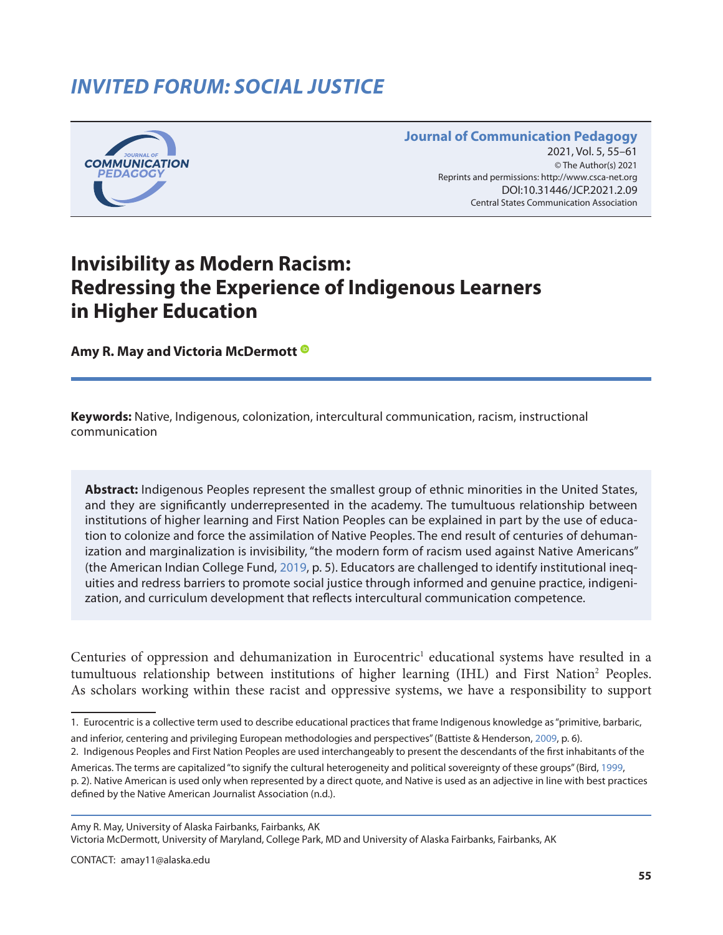# *INVITED FORUM: SOCIAL JUSTICE*



#### **Journal of Communication Pedagogy** 2021, Vol. 5, 55–61 © The Author(s) 2021 Reprints and permissions: <http://www.csca-net.org> 2021, Vol. 5, 55–612021Reprints and permissions:<http://www.csca-net.org> DOI:10.31446/JCP.2018.02 DOI:10.31446/JCP.2021.2.09 Central States Communication Association Central States Communication Association

## **Invisibility as Modern Racism: Redressing the Experience of Indigenous Learners in Higher Education**

**Amy R. May and Victoria McDermott**

**Keywords:** Native, Indigenous, colonization, intercultural communication, racism, instructional communication

**Abstract:** Indigenous Peoples represent the smallest group of ethnic minorities in the United States, and they are significantly underrepresented in the academy. The tumultuous relationship between institutions of higher learning and First Nation Peoples can be explained in part by the use of education to colonize and force the assimilation of Native Peoples. The end result of centuries of dehumanization and marginalization is invisibility, "the modern form of racism used against Native Americans" (the American Indian College Fund, [2019,](#page-5-0) p. 5). Educators are challenged to identify institutional inequities and redress barriers to promote social justice through informed and genuine practice, indigenization, and curriculum development that reflects intercultural communication competence.

Centuries of oppression and dehumanization in Eurocentric<sup>1</sup> educational systems have resulted in a tumultuous relationship between institutions of higher learning (IHL) and First Nation<sup>2</sup> Peoples. As scholars working within these racist and oppressive systems, we have a responsibility to support

Amy R. May, University of Alaska Fairbanks, Fairbanks, AK

Victoria McDermott, University of Maryland, College Park, MD and University of Alaska Fairbanks, Fairbanks, AK

<sup>1.</sup> Eurocentric is a collective term used to describe educational practices that frame Indigenous knowledge as "primitive, barbaric,

and inferior, centering and privileging European methodologies and perspectives" (Battiste & Henderson, [2009,](#page-5-0) p. 6).

<sup>2.</sup> Indigenous Peoples and First Nation Peoples are used interchangeably to present the descendants of the first inhabitants of the Americas. The terms are capitalized "to signify the cultural heterogeneity and political sovereignty of these groups" (Bird, [1999,](#page-5-0)

p. 2). Native American is used only when represented by a direct quote, and Native is used as an adjective in line with best practices defined by the Native American Journalist Association (n.d.).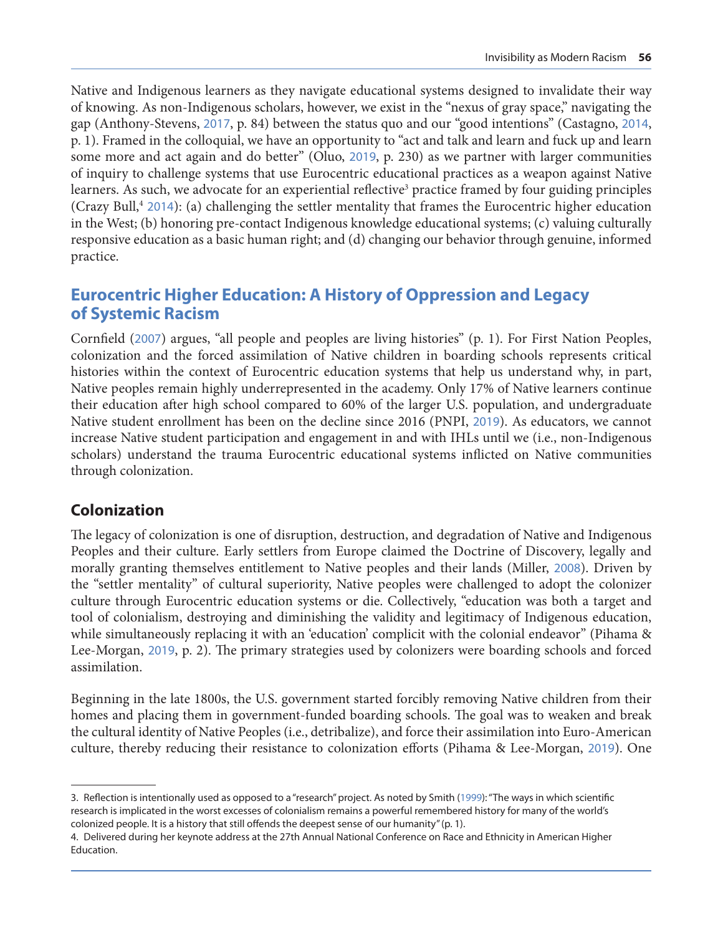Native and Indigenous learners as they navigate educational systems designed to invalidate their way of knowing. As non-Indigenous scholars, however, we exist in the "nexus of gray space," navigating the gap (Anthony-Stevens, [2017](#page-5-0), p. 84) between the status quo and our "good intentions" (Castagno, [2014](#page-5-0), p. 1). Framed in the colloquial, we have an opportunity to "act and talk and learn and fuck up and learn some more and act again and do better" (Oluo, [2019](#page-6-0), p. 230) as we partner with larger communities of inquiry to challenge systems that use Eurocentric educational practices as a weapon against Native learners. As such, we advocate for an experiential reflective<sup>3</sup> practice framed by four guiding principles (Crazy Bull,<sup>4</sup> [2014](#page-6-0)): (a) challenging the settler mentality that frames the Eurocentric higher education in the West; (b) honoring pre-contact Indigenous knowledge educational systems; (c) valuing culturally responsive education as a basic human right; and (d) changing our behavior through genuine, informed practice.

## **Eurocentric Higher Education: A History of Oppression and Legacy of Systemic Racism**

Cornfield ([2007](#page-6-0)) argues, "all people and peoples are living histories" (p. 1). For First Nation Peoples, colonization and the forced assimilation of Native children in boarding schools represents critical histories within the context of Eurocentric education systems that help us understand why, in part, Native peoples remain highly underrepresented in the academy. Only 17% of Native learners continue their education after high school compared to 60% of the larger U.S. population, and undergraduate Native student enrollment has been on the decline since 2016 (PNPI, [2019](#page-6-0)). As educators, we cannot increase Native student participation and engagement in and with IHLs until we (i.e., non-Indigenous scholars) understand the trauma Eurocentric educational systems inflicted on Native communities through colonization.

#### **Colonization**

The legacy of colonization is one of disruption, destruction, and degradation of Native and Indigenous Peoples and their culture. Early settlers from Europe claimed the Doctrine of Discovery, legally and morally granting themselves entitlement to Native peoples and their lands (Miller, [2008](#page-6-0)). Driven by the "settler mentality" of cultural superiority, Native peoples were challenged to adopt the colonizer culture through Eurocentric education systems or die. Collectively, "education was both a target and tool of colonialism, destroying and diminishing the validity and legitimacy of Indigenous education, while simultaneously replacing it with an 'education' complicit with the colonial endeavor" (Pihama & Lee-Morgan, [2019](#page-6-0), p. 2). The primary strategies used by colonizers were boarding schools and forced assimilation.

Beginning in the late 1800s, the U.S. government started forcibly removing Native children from their homes and placing them in government-funded boarding schools. The goal was to weaken and break the cultural identity of Native Peoples (i.e., detribalize), and force their assimilation into Euro-American culture, thereby reducing their resistance to colonization efforts (Pihama & Lee-Morgan, [2019](#page-6-0)). One

<sup>3.</sup> Reflection is intentionally used as opposed to a "research" project. As noted by Smith ([1999](#page-6-0)): "The ways in which scientific research is implicated in the worst excesses of colonialism remains a powerful remembered history for many of the world's colonized people. It is a history that still offends the deepest sense of our humanity" (p. 1).

<sup>4.</sup> Delivered during her keynote address at the 27th Annual National Conference on Race and Ethnicity in American Higher Education.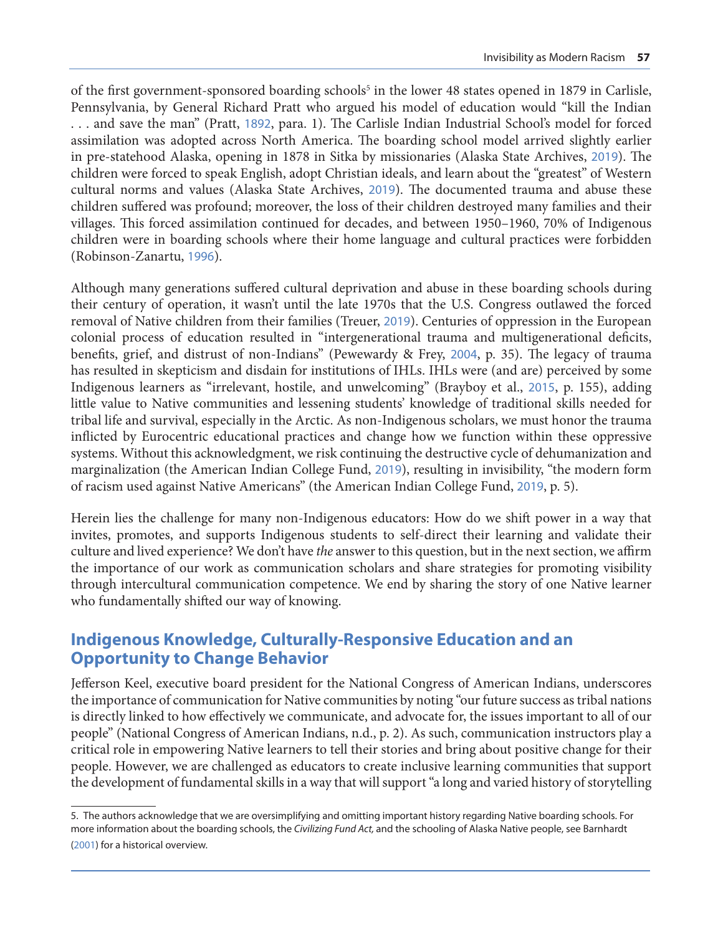of the first government-sponsored boarding schools<sup>5</sup> in the lower 48 states opened in 1879 in Carlisle, Pennsylvania, by General Richard Pratt who argued his model of education would "kill the Indian . . . and save the man" (Pratt, [1892](#page-6-0), para. 1). The Carlisle Indian Industrial School's model for forced assimilation was adopted across North America. The boarding school model arrived slightly earlier in pre-statehood Alaska, opening in 1878 in Sitka by missionaries (Alaska State Archives, [2019](#page-6-0)). The children were forced to speak English, adopt Christian ideals, and learn about the "greatest" of Western cultural norms and values (Alaska State Archives, [2019](#page-6-0)). The documented trauma and abuse these children suffered was profound; moreover, the loss of their children destroyed many families and their villages. This forced assimilation continued for decades, and between 1950–1960, 70% of Indigenous children were in boarding schools where their home language and cultural practices were forbidden (Robinson-Zanartu, [1996](#page-6-0)).

Although many generations suffered cultural deprivation and abuse in these boarding schools during their century of operation, it wasn't until the late 1970s that the U.S. Congress outlawed the forced removal of Native children from their families (Treuer, [2019](#page-6-0)). Centuries of oppression in the European colonial process of education resulted in "intergenerational trauma and multigenerational deficits, benefits, grief, and distrust of non-Indians" (Pewewardy & Frey, [2004](#page-6-0), p. 35). The legacy of trauma has resulted in skepticism and disdain for institutions of IHLs. IHLs were (and are) perceived by some Indigenous learners as "irrelevant, hostile, and unwelcoming" (Brayboy et al., [2015](#page-5-0), p. 155), adding little value to Native communities and lessening students' knowledge of traditional skills needed for tribal life and survival, especially in the Arctic. As non-Indigenous scholars, we must honor the trauma inflicted by Eurocentric educational practices and change how we function within these oppressive systems. Without this acknowledgment, we risk continuing the destructive cycle of dehumanization and marginalization (the American Indian College Fund, [2019](#page-5-0)), resulting in invisibility, "the modern form of racism used against Native Americans" (the American Indian College Fund, [2019](#page-5-0), p. 5).

Herein lies the challenge for many non-Indigenous educators: How do we shift power in a way that invites, promotes, and supports Indigenous students to self-direct their learning and validate their culture and lived experience? We don't have *the* answer to this question, but in the next section, we affirm the importance of our work as communication scholars and share strategies for promoting visibility through intercultural communication competence. We end by sharing the story of one Native learner who fundamentally shifted our way of knowing.

### **Indigenous Knowledge, Culturally-Responsive Education and an Opportunity to Change Behavior**

Jefferson Keel, executive board president for the National Congress of American Indians, underscores the importance of communication for Native communities by noting "our future success as tribal nations is directly linked to how effectively we communicate, and advocate for, the issues important to all of our people" (National Congress of American Indians, n.d., p. 2). As such, communication instructors play a critical role in empowering Native learners to tell their stories and bring about positive change for their people. However, we are challenged as educators to create inclusive learning communities that support the development of fundamental skills in a way that will support "a long and varied history of storytelling

<sup>5.</sup> The authors acknowledge that we are oversimplifying and omitting important history regarding Native boarding schools. For more information about the boarding schools, the *Civilizing Fund Act,* and the schooling of Alaska Native people, see Barnhardt ([2001](#page-6-0)) for a historical overview.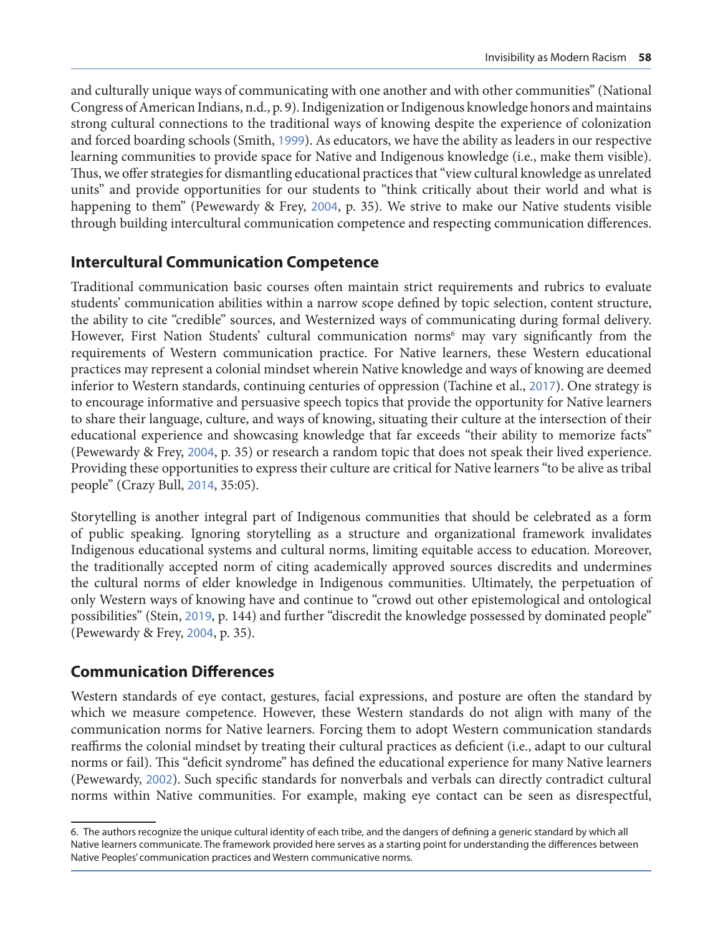and culturally unique ways of communicating with one another and with other communities" (National Congress of American Indians, n.d., p. 9). Indigenization or Indigenous knowledge honors and maintains strong cultural connections to the traditional ways of knowing despite the experience of colonization and forced boarding schools (Smith, [1999](#page-6-0)). As educators, we have the ability as leaders in our respective learning communities to provide space for Native and Indigenous knowledge (i.e., make them visible). Thus, we offer strategies for dismantling educational practices that "view cultural knowledge as unrelated units" and provide opportunities for our students to "think critically about their world and what is happening to them" (Pewewardy & Frey, [2004](#page-6-0), p. 35). We strive to make our Native students visible through building intercultural communication competence and respecting communication differences.

#### **Intercultural Communication Competence**

Traditional communication basic courses often maintain strict requirements and rubrics to evaluate students' communication abilities within a narrow scope defined by topic selection, content structure, the ability to cite "credible" sources, and Westernized ways of communicating during formal delivery. However, First Nation Students' cultural communication norms<sup>6</sup> may vary significantly from the requirements of Western communication practice. For Native learners, these Western educational practices may represent a colonial mindset wherein Native knowledge and ways of knowing are deemed inferior to Western standards, continuing centuries of oppression (Tachine et al., [2017](#page-6-0)). One strategy is to encourage informative and persuasive speech topics that provide the opportunity for Native learners to share their language, culture, and ways of knowing, situating their culture at the intersection of their educational experience and showcasing knowledge that far exceeds "their ability to memorize facts" (Pewewardy & Frey, [2004](#page-6-0), p. 35) or research a random topic that does not speak their lived experience. Providing these opportunities to express their culture are critical for Native learners "to be alive as tribal people" (Crazy Bull, [2014](#page-5-0), 35:05).

Storytelling is another integral part of Indigenous communities that should be celebrated as a form of public speaking. Ignoring storytelling as a structure and organizational framework invalidates Indigenous educational systems and cultural norms, limiting equitable access to education. Moreover, the traditionally accepted norm of citing academically approved sources discredits and undermines the cultural norms of elder knowledge in Indigenous communities. Ultimately, the perpetuation of only Western ways of knowing have and continue to "crowd out other epistemological and ontological possibilities" (Stein, [2019](#page-6-0), p. 144) and further "discredit the knowledge possessed by dominated people" (Pewewardy & Frey, [2004](#page-6-0), p. 35).

#### **Communication Differences**

Western standards of eye contact, gestures, facial expressions, and posture are often the standard by which we measure competence. However, these Western standards do not align with many of the communication norms for Native learners. Forcing them to adopt Western communication standards reaffirms the colonial mindset by treating their cultural practices as deficient (i.e., adapt to our cultural norms or fail). This "deficit syndrome" has defined the educational experience for many Native learners (Pewewardy, [2002](#page-6-0)). Such specific standards for nonverbals and verbals can directly contradict cultural norms within Native communities. For example, making eye contact can be seen as disrespectful,

<sup>6.</sup> The authors recognize the unique cultural identity of each tribe, and the dangers of defining a generic standard by which all Native learners communicate. The framework provided here serves as a starting point for understanding the differences between Native Peoples' communication practices and Western communicative norms.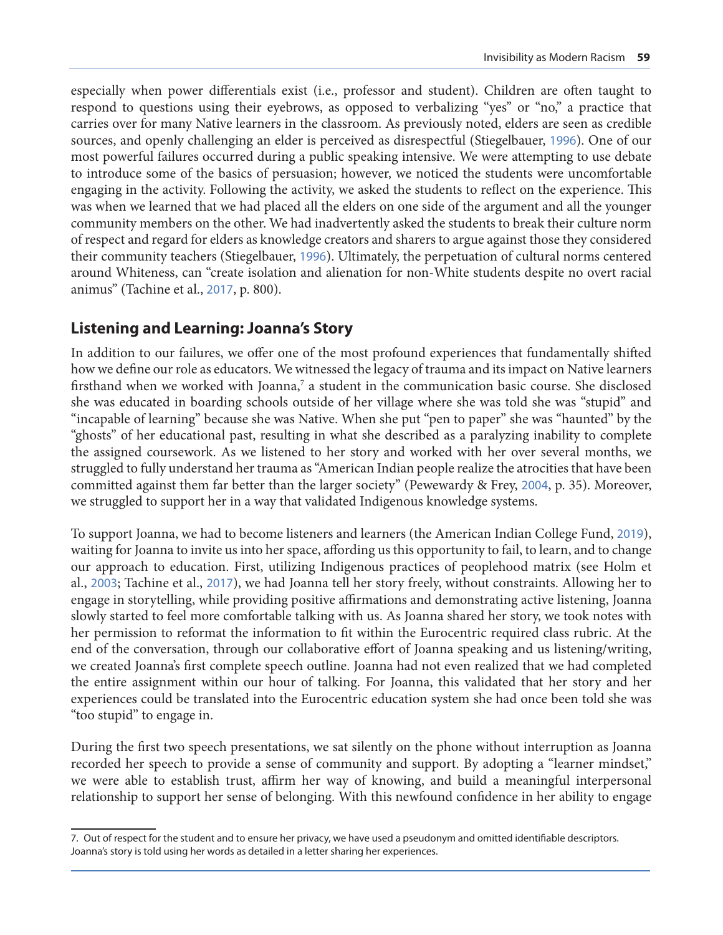especially when power differentials exist (i.e., professor and student). Children are often taught to respond to questions using their eyebrows, as opposed to verbalizing "yes" or "no," a practice that carries over for many Native learners in the classroom. As previously noted, elders are seen as credible sources, and openly challenging an elder is perceived as disrespectful (Stiegelbauer, [1996](#page-6-0)). One of our most powerful failures occurred during a public speaking intensive. We were attempting to use debate to introduce some of the basics of persuasion; however, we noticed the students were uncomfortable engaging in the activity. Following the activity, we asked the students to reflect on the experience. This was when we learned that we had placed all the elders on one side of the argument and all the younger community members on the other. We had inadvertently asked the students to break their culture norm of respect and regard for elders as knowledge creators and sharers to argue against those they considered their community teachers (Stiegelbauer, [1996](#page-6-0)). Ultimately, the perpetuation of cultural norms centered around Whiteness, can "create isolation and alienation for non-White students despite no overt racial animus" (Tachine et al., [2017](#page-6-0), p. 800).

### **Listening and Learning: Joanna's Story**

In addition to our failures, we offer one of the most profound experiences that fundamentally shifted how we define our role as educators. We witnessed the legacy of trauma and its impact on Native learners firsthand when we worked with Joanna,<sup>7</sup> a student in the communication basic course. She disclosed she was educated in boarding schools outside of her village where she was told she was "stupid" and "incapable of learning" because she was Native. When she put "pen to paper" she was "haunted" by the "ghosts" of her educational past, resulting in what she described as a paralyzing inability to complete the assigned coursework. As we listened to her story and worked with her over several months, we struggled to fully understand her trauma as "American Indian people realize the atrocities that have been committed against them far better than the larger society" (Pewewardy & Frey, [2004](#page-6-0), p. 35). Moreover, we struggled to support her in a way that validated Indigenous knowledge systems.

To support Joanna, we had to become listeners and learners (the American Indian College Fund, [2019](#page-5-0)), waiting for Joanna to invite us into her space, affording us this opportunity to fail, to learn, and to change our approach to education. First, utilizing Indigenous practices of peoplehood matrix (see Holm et al., [2003](#page-6-0); Tachine et al., [2017](#page-6-0)), we had Joanna tell her story freely, without constraints. Allowing her to engage in storytelling, while providing positive affirmations and demonstrating active listening, Joanna slowly started to feel more comfortable talking with us. As Joanna shared her story, we took notes with her permission to reformat the information to fit within the Eurocentric required class rubric. At the end of the conversation, through our collaborative effort of Joanna speaking and us listening/writing, we created Joanna's first complete speech outline. Joanna had not even realized that we had completed the entire assignment within our hour of talking. For Joanna, this validated that her story and her experiences could be translated into the Eurocentric education system she had once been told she was "too stupid" to engage in.

During the first two speech presentations, we sat silently on the phone without interruption as Joanna recorded her speech to provide a sense of community and support. By adopting a "learner mindset," we were able to establish trust, affirm her way of knowing, and build a meaningful interpersonal relationship to support her sense of belonging. With this newfound confidence in her ability to engage

<sup>7.</sup> Out of respect for the student and to ensure her privacy, we have used a pseudonym and omitted identifiable descriptors. Joanna's story is told using her words as detailed in a letter sharing her experiences.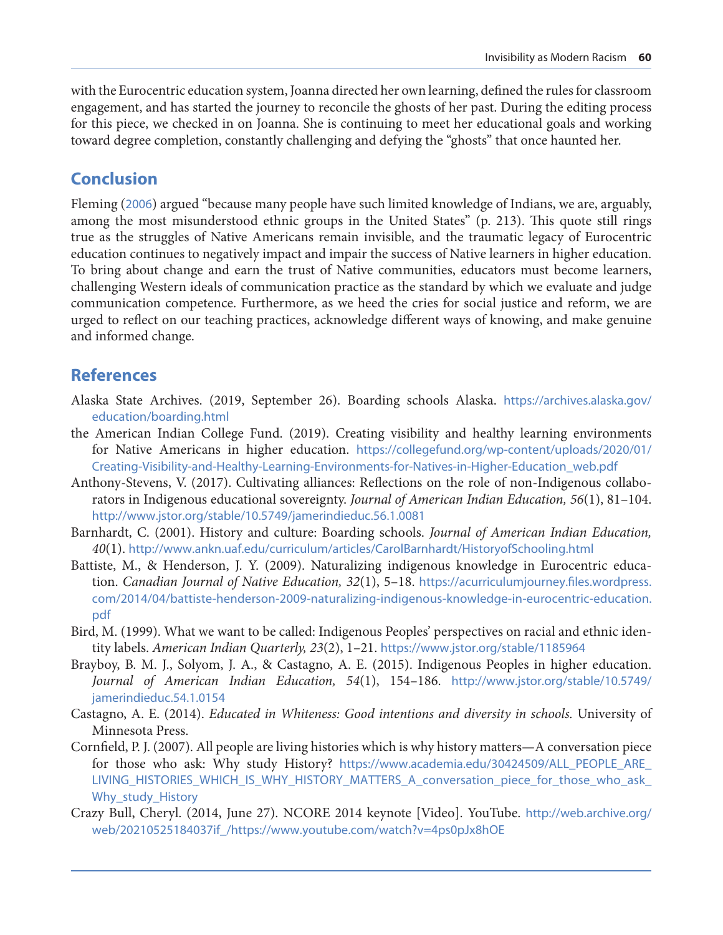<span id="page-5-0"></span>with the Eurocentric education system, Joanna directed her own learning, defined the rules for classroom engagement, and has started the journey to reconcile the ghosts of her past. During the editing process for this piece, we checked in on Joanna. She is continuing to meet her educational goals and working toward degree completion, constantly challenging and defying the "ghosts" that once haunted her.

## **Conclusion**

Fleming ([2006](#page-6-0)) argued "because many people have such limited knowledge of Indians, we are, arguably, among the most misunderstood ethnic groups in the United States" (p. 213). This quote still rings true as the struggles of Native Americans remain invisible, and the traumatic legacy of Eurocentric education continues to negatively impact and impair the success of Native learners in higher education. To bring about change and earn the trust of Native communities, educators must become learners, challenging Western ideals of communication practice as the standard by which we evaluate and judge communication competence. Furthermore, as we heed the cries for social justice and reform, we are urged to reflect on our teaching practices, acknowledge different ways of knowing, and make genuine and informed change.

## **References**

- Alaska State Archives. (2019, September 26). Boarding schools Alaska. [https://archives.alaska.gov/](https://archives.alaska.gov/education/boarding.html) [education/boarding.html](https://archives.alaska.gov/education/boarding.html)
- the American Indian College Fund. (2019). Creating visibility and healthy learning environments for Native Americans in higher education. [https://collegefund.org/wp-content/uploads/2020/01/](https://collegefund.org/wp-content/uploads/2020/01/Creating-Visibility-and-Healthy-Learning-Environments-for-Natives-in-Higher-Education_web.pdf) [Creating-Visibility-and-Healthy-Learning-Environments-for-Natives-in-Higher-Education\\_web.pdf](https://collegefund.org/wp-content/uploads/2020/01/Creating-Visibility-and-Healthy-Learning-Environments-for-Natives-in-Higher-Education_web.pdf)
- Anthony-Stevens, V. (2017). Cultivating alliances: Reflections on the role of non-Indigenous collaborators in Indigenous educational sovereignty. *Journal of American Indian Education, 56*(1), 81–104. <http://www.jstor.org/stable/10.5749/jamerindieduc.56.1.0081>
- Barnhardt, C. (2001). History and culture: Boarding schools. *Journal of American Indian Education, 40*(1). <http://www.ankn.uaf.edu/curriculum/articles/CarolBarnhardt/HistoryofSchooling.html>
- Battiste, M., & Henderson, J. Y. (2009). Naturalizing indigenous knowledge in Eurocentric education. *Canadian Journal of Native Education, 32*(1), 5–18. [https://acurriculumjourney.files.wordpress.](https://acurriculumjourney.files.wordpress.com/2014/04/battiste-henderson-2009-naturalizing-indigenous-knowledge-in-eurocentric-education.pdf) [com/2014/04/battiste-henderson-2009-naturalizing-indigenous-knowledge-in-eurocentric-education.](https://acurriculumjourney.files.wordpress.com/2014/04/battiste-henderson-2009-naturalizing-indigenous-knowledge-in-eurocentric-education.pdf) [pdf](https://acurriculumjourney.files.wordpress.com/2014/04/battiste-henderson-2009-naturalizing-indigenous-knowledge-in-eurocentric-education.pdf)
- Bird, M. (1999). What we want to be called: Indigenous Peoples' perspectives on racial and ethnic identity labels. *American Indian Quarterly, 23*(2), 1–21. <https://www.jstor.org/stable/1185964>
- Brayboy, B. M. J., Solyom, J. A., & Castagno, A. E. (2015). Indigenous Peoples in higher education. *Journal of American Indian Education, 54*(1), 154–186. [http://www.jstor.org/stable/10.5749/](http://www.jstor.org/stable/10.5749/jamerindieduc.54.1.0154) [jamerindieduc.54.1.0154](http://www.jstor.org/stable/10.5749/jamerindieduc.54.1.0154)
- Castagno, A. E. (2014). *Educated in Whiteness: Good intentions and diversity in schools.* University of Minnesota Press.
- Cornfield, P. J. (2007). All people are living histories which is why history matters—A conversation piece for those who ask: Why study History? [https://www.academia.edu/30424509/ALL\\_PEOPLE\\_ARE\\_](https://www.academia.edu/30424509/ALL_PEOPLE_ARE_LIVING_HISTORIES_WHICH_IS_WHY_HISTORY_MATTERS_A_conversation_piece_for_those_who_ask_Why_study_History) [LIVING\\_HISTORIES\\_WHICH\\_IS\\_WHY\\_HISTORY\\_MATTERS\\_A\\_conversation\\_piece\\_for\\_those\\_who\\_ask\\_](https://www.academia.edu/30424509/ALL_PEOPLE_ARE_LIVING_HISTORIES_WHICH_IS_WHY_HISTORY_MATTERS_A_conversation_piece_for_those_who_ask_Why_study_History) [Why\\_study\\_History](https://www.academia.edu/30424509/ALL_PEOPLE_ARE_LIVING_HISTORIES_WHICH_IS_WHY_HISTORY_MATTERS_A_conversation_piece_for_those_who_ask_Why_study_History)
- Crazy Bull, Cheryl. (2014, June 27). NCORE 2014 keynote [Video]. YouTube. [http://web.archive.org/](http://web.archive.org/web/20210525184037if_/https://www.youtube.com/watch?v=4ps0pJx8hOE) [web/20210525184037if\\_/https://www.youtube.com/watch?v=4ps0pJx8hOE](http://web.archive.org/web/20210525184037if_/https://www.youtube.com/watch?v=4ps0pJx8hOE)